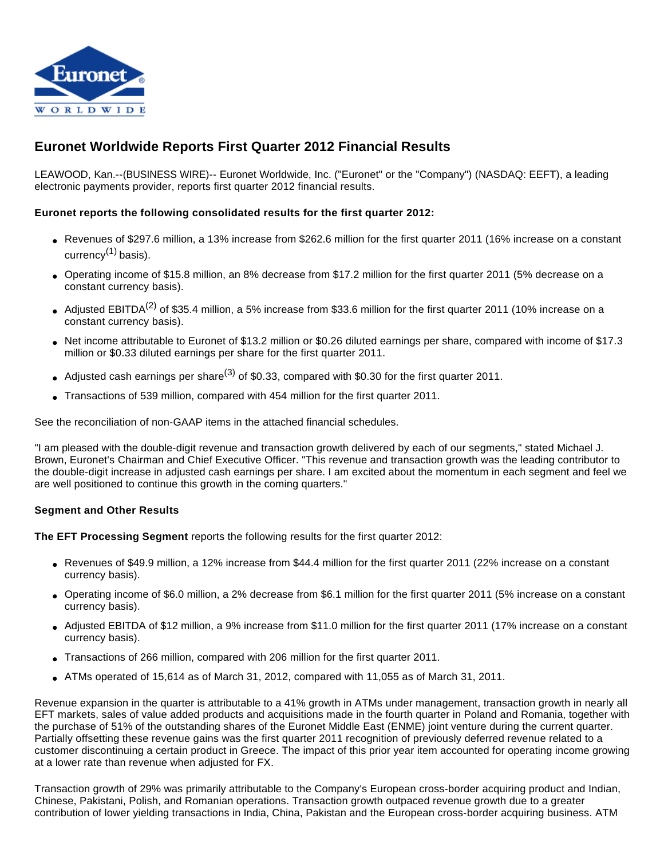

# **Euronet Worldwide Reports First Quarter 2012 Financial Results**

LEAWOOD, Kan.--(BUSINESS WIRE)-- Euronet Worldwide, Inc. ("Euronet" or the "Company") (NASDAQ: EEFT), a leading electronic payments provider, reports first quarter 2012 financial results.

#### **Euronet reports the following consolidated results for the first quarter 2012:**

- Revenues of \$297.6 million, a 13% increase from \$262.6 million for the first quarter 2011 (16% increase on a constant currency $(1)$  basis).
- Operating income of \$15.8 million, an 8% decrease from \$17.2 million for the first quarter 2011 (5% decrease on a constant currency basis).
- Adjusted EBITDA<sup>(2)</sup> of \$35.4 million, a 5% increase from \$33.6 million for the first quarter 2011 (10% increase on a constant currency basis).
- Net income attributable to Euronet of \$13.2 million or \$0.26 diluted earnings per share, compared with income of \$17.3 million or \$0.33 diluted earnings per share for the first quarter 2011.
- Adjusted cash earnings per share<sup>(3)</sup> of \$0.33, compared with \$0.30 for the first quarter 2011.
- Transactions of 539 million, compared with 454 million for the first quarter 2011.

See the reconciliation of non-GAAP items in the attached financial schedules.

"I am pleased with the double-digit revenue and transaction growth delivered by each of our segments," stated Michael J. Brown, Euronet's Chairman and Chief Executive Officer. "This revenue and transaction growth was the leading contributor to the double-digit increase in adjusted cash earnings per share. I am excited about the momentum in each segment and feel we are well positioned to continue this growth in the coming quarters."

#### **Segment and Other Results**

**The EFT Processing Segment** reports the following results for the first quarter 2012:

- Revenues of \$49.9 million, a 12% increase from \$44.4 million for the first quarter 2011 (22% increase on a constant currency basis).
- Operating income of \$6.0 million, a 2% decrease from \$6.1 million for the first quarter 2011 (5% increase on a constant currency basis).
- Adjusted EBITDA of \$12 million, a 9% increase from \$11.0 million for the first quarter 2011 (17% increase on a constant currency basis).
- Transactions of 266 million, compared with 206 million for the first quarter 2011.
- $\bullet$  ATMs operated of 15,614 as of March 31, 2012, compared with 11,055 as of March 31, 2011.

Revenue expansion in the quarter is attributable to a 41% growth in ATMs under management, transaction growth in nearly all EFT markets, sales of value added products and acquisitions made in the fourth quarter in Poland and Romania, together with the purchase of 51% of the outstanding shares of the Euronet Middle East (ENME) joint venture during the current quarter. Partially offsetting these revenue gains was the first quarter 2011 recognition of previously deferred revenue related to a customer discontinuing a certain product in Greece. The impact of this prior year item accounted for operating income growing at a lower rate than revenue when adjusted for FX.

Transaction growth of 29% was primarily attributable to the Company's European cross-border acquiring product and Indian, Chinese, Pakistani, Polish, and Romanian operations. Transaction growth outpaced revenue growth due to a greater contribution of lower yielding transactions in India, China, Pakistan and the European cross-border acquiring business. ATM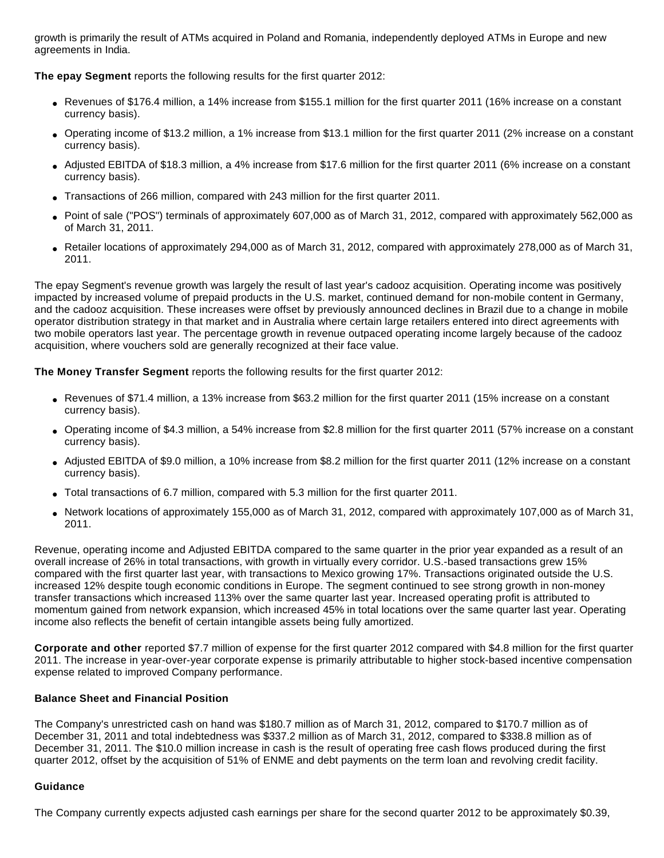growth is primarily the result of ATMs acquired in Poland and Romania, independently deployed ATMs in Europe and new agreements in India.

**The epay Segment** reports the following results for the first quarter 2012:

- Revenues of \$176.4 million, a 14% increase from \$155.1 million for the first quarter 2011 (16% increase on a constant currency basis).
- Operating income of \$13.2 million, a 1% increase from \$13.1 million for the first quarter 2011 (2% increase on a constant currency basis).
- Adjusted EBITDA of \$18.3 million, a 4% increase from \$17.6 million for the first quarter 2011 (6% increase on a constant currency basis).
- Transactions of 266 million, compared with 243 million for the first quarter 2011.
- Point of sale ("POS") terminals of approximately 607,000 as of March 31, 2012, compared with approximately 562,000 as of March 31, 2011.
- Retailer locations of approximately 294,000 as of March 31, 2012, compared with approximately 278,000 as of March 31, 2011.

The epay Segment's revenue growth was largely the result of last year's cadooz acquisition. Operating income was positively impacted by increased volume of prepaid products in the U.S. market, continued demand for non-mobile content in Germany, and the cadooz acquisition. These increases were offset by previously announced declines in Brazil due to a change in mobile operator distribution strategy in that market and in Australia where certain large retailers entered into direct agreements with two mobile operators last year. The percentage growth in revenue outpaced operating income largely because of the cadooz acquisition, where vouchers sold are generally recognized at their face value.

**The Money Transfer Segment** reports the following results for the first quarter 2012:

- Revenues of \$71.4 million, a 13% increase from \$63.2 million for the first quarter 2011 (15% increase on a constant currency basis).
- Operating income of \$4.3 million, a 54% increase from \$2.8 million for the first quarter 2011 (57% increase on a constant currency basis).
- Adjusted EBITDA of \$9.0 million, a 10% increase from \$8.2 million for the first quarter 2011 (12% increase on a constant currency basis).
- Total transactions of 6.7 million, compared with 5.3 million for the first quarter 2011.
- Network locations of approximately 155,000 as of March 31, 2012, compared with approximately 107,000 as of March 31, 2011.

Revenue, operating income and Adjusted EBITDA compared to the same quarter in the prior year expanded as a result of an overall increase of 26% in total transactions, with growth in virtually every corridor. U.S.-based transactions grew 15% compared with the first quarter last year, with transactions to Mexico growing 17%. Transactions originated outside the U.S. increased 12% despite tough economic conditions in Europe. The segment continued to see strong growth in non-money transfer transactions which increased 113% over the same quarter last year. Increased operating profit is attributed to momentum gained from network expansion, which increased 45% in total locations over the same quarter last year. Operating income also reflects the benefit of certain intangible assets being fully amortized.

**Corporate and other** reported \$7.7 million of expense for the first quarter 2012 compared with \$4.8 million for the first quarter 2011. The increase in year-over-year corporate expense is primarily attributable to higher stock-based incentive compensation expense related to improved Company performance.

# **Balance Sheet and Financial Position**

The Company's unrestricted cash on hand was \$180.7 million as of March 31, 2012, compared to \$170.7 million as of December 31, 2011 and total indebtedness was \$337.2 million as of March 31, 2012, compared to \$338.8 million as of December 31, 2011. The \$10.0 million increase in cash is the result of operating free cash flows produced during the first quarter 2012, offset by the acquisition of 51% of ENME and debt payments on the term loan and revolving credit facility.

# **Guidance**

The Company currently expects adjusted cash earnings per share for the second quarter 2012 to be approximately \$0.39,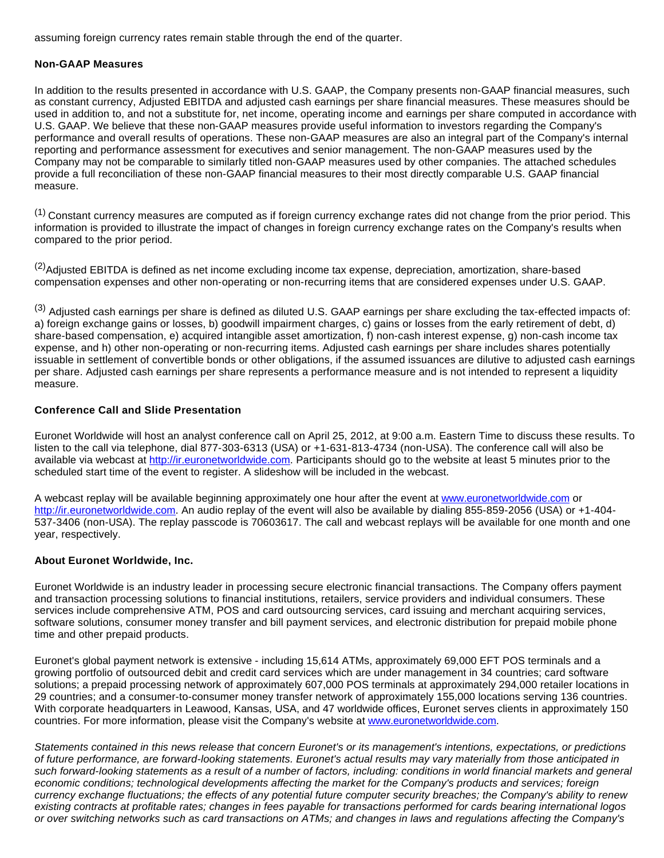assuming foreign currency rates remain stable through the end of the quarter.

#### **Non-GAAP Measures**

In addition to the results presented in accordance with U.S. GAAP, the Company presents non-GAAP financial measures, such as constant currency, Adjusted EBITDA and adjusted cash earnings per share financial measures. These measures should be used in addition to, and not a substitute for, net income, operating income and earnings per share computed in accordance with U.S. GAAP. We believe that these non-GAAP measures provide useful information to investors regarding the Company's performance and overall results of operations. These non-GAAP measures are also an integral part of the Company's internal reporting and performance assessment for executives and senior management. The non-GAAP measures used by the Company may not be comparable to similarly titled non-GAAP measures used by other companies. The attached schedules provide a full reconciliation of these non-GAAP financial measures to their most directly comparable U.S. GAAP financial measure.

 $(1)$  Constant currency measures are computed as if foreign currency exchange rates did not change from the prior period. This information is provided to illustrate the impact of changes in foreign currency exchange rates on the Company's results when compared to the prior period.

<sup>(2)</sup>Adjusted EBITDA is defined as net income excluding income tax expense, depreciation, amortization, share-based compensation expenses and other non-operating or non-recurring items that are considered expenses under U.S. GAAP.

(3) Adjusted cash earnings per share is defined as diluted U.S. GAAP earnings per share excluding the tax-effected impacts of: a) foreign exchange gains or losses, b) goodwill impairment charges, c) gains or losses from the early retirement of debt, d) share-based compensation, e) acquired intangible asset amortization, f) non-cash interest expense, g) non-cash income tax expense, and h) other non-operating or non-recurring items. Adjusted cash earnings per share includes shares potentially issuable in settlement of convertible bonds or other obligations, if the assumed issuances are dilutive to adjusted cash earnings per share. Adjusted cash earnings per share represents a performance measure and is not intended to represent a liquidity measure.

#### **Conference Call and Slide Presentation**

Euronet Worldwide will host an analyst conference call on April 25, 2012, at 9:00 a.m. Eastern Time to discuss these results. To listen to the call via telephone, dial 877-303-6313 (USA) or +1-631-813-4734 (non-USA). The conference call will also be available via webcast at [http://ir.euronetworldwide.com.](http://cts.businesswire.com/ct/CT?id=smartlink&url=http%3A%2F%2Fir.euronetworldwide.com&esheet=50251967&lan=en-US&anchor=http%3A%2F%2Fir.euronetworldwide.com&index=1&md5=b483b3ea9c6a24daf9db7b3d40dcccf5) Participants should go to the website at least 5 minutes prior to the scheduled start time of the event to register. A slideshow will be included in the webcast.

A webcast replay will be available beginning approximately one hour after the event at [www.euronetworldwide.com](http://cts.businesswire.com/ct/CT?id=smartlink&url=http%3A%2F%2Fwww.euronetworldwide.com&esheet=50251967&lan=en-US&anchor=www.euronetworldwide.com&index=2&md5=acbc475da36c2f5c24c8867b16c97d80) or [http://ir.euronetworldwide.com.](http://cts.businesswire.com/ct/CT?id=smartlink&url=http%3A%2F%2Fir.euronetworldwide.com&esheet=50251967&lan=en-US&anchor=http%3A%2F%2Fir.euronetworldwide.com&index=3&md5=aef1c128361c00f3644ddb6adafa9f1d) An audio replay of the event will also be available by dialing 855-859-2056 (USA) or +1-404- 537-3406 (non-USA). The replay passcode is 70603617. The call and webcast replays will be available for one month and one year, respectively.

# **About Euronet Worldwide, Inc.**

Euronet Worldwide is an industry leader in processing secure electronic financial transactions. The Company offers payment and transaction processing solutions to financial institutions, retailers, service providers and individual consumers. These services include comprehensive ATM, POS and card outsourcing services, card issuing and merchant acquiring services, software solutions, consumer money transfer and bill payment services, and electronic distribution for prepaid mobile phone time and other prepaid products.

Euronet's global payment network is extensive - including 15,614 ATMs, approximately 69,000 EFT POS terminals and a growing portfolio of outsourced debit and credit card services which are under management in 34 countries; card software solutions; a prepaid processing network of approximately 607,000 POS terminals at approximately 294,000 retailer locations in 29 countries; and a consumer-to-consumer money transfer network of approximately 155,000 locations serving 136 countries. With corporate headquarters in Leawood, Kansas, USA, and 47 worldwide offices, Euronet serves clients in approximately 150 countries. For more information, please visit the Company's website at [www.euronetworldwide.com.](http://cts.businesswire.com/ct/CT?id=smartlink&url=http%3A%2F%2Fwww.euronetworldwide.com&esheet=50251967&lan=en-US&anchor=www.euronetworldwide.com&index=4&md5=743687a08a89cdb06dce89797e1f7903)

Statements contained in this news release that concern Euronet's or its management's intentions, expectations, or predictions of future performance, are forward-looking statements. Euronet's actual results may vary materially from those anticipated in such forward-looking statements as a result of a number of factors, including: conditions in world financial markets and general economic conditions; technological developments affecting the market for the Company's products and services; foreign currency exchange fluctuations; the effects of any potential future computer security breaches; the Company's ability to renew existing contracts at profitable rates; changes in fees payable for transactions performed for cards bearing international logos or over switching networks such as card transactions on ATMs; and changes in laws and regulations affecting the Company's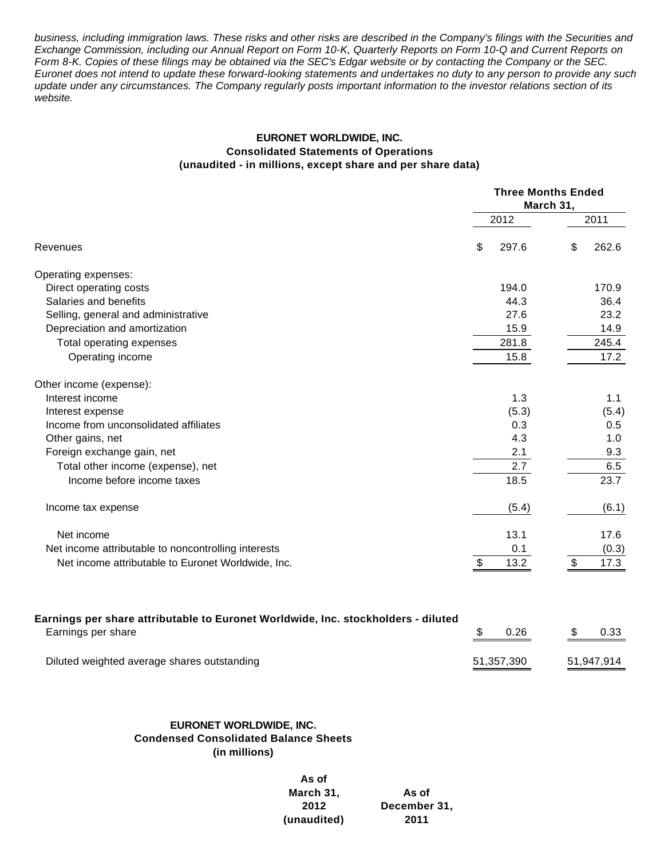business, including immigration laws. These risks and other risks are described in the Company's filings with the Securities and Exchange Commission, including our Annual Report on Form 10-K, Quarterly Reports on Form 10-Q and Current Reports on Form 8-K. Copies of these filings may be obtained via the SEC's Edgar website or by contacting the Company or the SEC. Euronet does not intend to update these forward-looking statements and undertakes no duty to any person to provide any such update under any circumstances. The Company regularly posts important information to the investor relations section of its website.

### **EURONET WORLDWIDE, INC. Consolidated Statements of Operations (unaudited - in millions, except share and per share data)**

|                                                                                   |            | <b>Three Months Ended</b><br>March 31,<br>2011<br>\$<br>297.6<br>194.0<br>44.3<br>27.6 |            |  |  |  |
|-----------------------------------------------------------------------------------|------------|----------------------------------------------------------------------------------------|------------|--|--|--|
|                                                                                   | 2012       |                                                                                        |            |  |  |  |
| Revenues                                                                          | \$         |                                                                                        | 262.6      |  |  |  |
| Operating expenses:                                                               |            |                                                                                        |            |  |  |  |
| Direct operating costs                                                            |            |                                                                                        | 170.9      |  |  |  |
| Salaries and benefits                                                             |            |                                                                                        | 36.4       |  |  |  |
| Selling, general and administrative                                               |            |                                                                                        | 23.2       |  |  |  |
| Depreciation and amortization                                                     | 15.9       |                                                                                        | 14.9       |  |  |  |
| Total operating expenses                                                          | 281.8      |                                                                                        | 245.4      |  |  |  |
| Operating income                                                                  | 15.8       |                                                                                        | 17.2       |  |  |  |
| Other income (expense):                                                           |            |                                                                                        |            |  |  |  |
| Interest income                                                                   | 1.3        |                                                                                        | 1.1        |  |  |  |
| Interest expense                                                                  | (5.3)      |                                                                                        | (5.4)      |  |  |  |
| Income from unconsolidated affiliates                                             | 0.3        |                                                                                        | 0.5        |  |  |  |
| Other gains, net                                                                  | 4.3        |                                                                                        | 1.0        |  |  |  |
| Foreign exchange gain, net                                                        | 2.1        |                                                                                        | 9.3        |  |  |  |
| Total other income (expense), net                                                 | 2.7        |                                                                                        | 6.5        |  |  |  |
| Income before income taxes                                                        | 18.5       |                                                                                        | 23.7       |  |  |  |
| Income tax expense                                                                | (5.4)      |                                                                                        | (6.1)      |  |  |  |
| Net income                                                                        | 13.1       |                                                                                        | 17.6       |  |  |  |
| Net income attributable to noncontrolling interests                               | 0.1        |                                                                                        | (0.3)      |  |  |  |
| Net income attributable to Euronet Worldwide, Inc.                                | \$<br>13.2 | \$                                                                                     | 17.3       |  |  |  |
| Earnings per share attributable to Euronet Worldwide, Inc. stockholders - diluted |            |                                                                                        |            |  |  |  |
| Earnings per share                                                                | \$<br>0.26 | \$                                                                                     | 0.33       |  |  |  |
| Diluted weighted average shares outstanding                                       | 51,357,390 |                                                                                        | 51,947,914 |  |  |  |
|                                                                                   |            |                                                                                        |            |  |  |  |

# **EURONET WORLDWIDE, INC. Condensed Consolidated Balance Sheets (in millions)**

**As of March 31, As of 2012 December 31, (unaudited) 2011**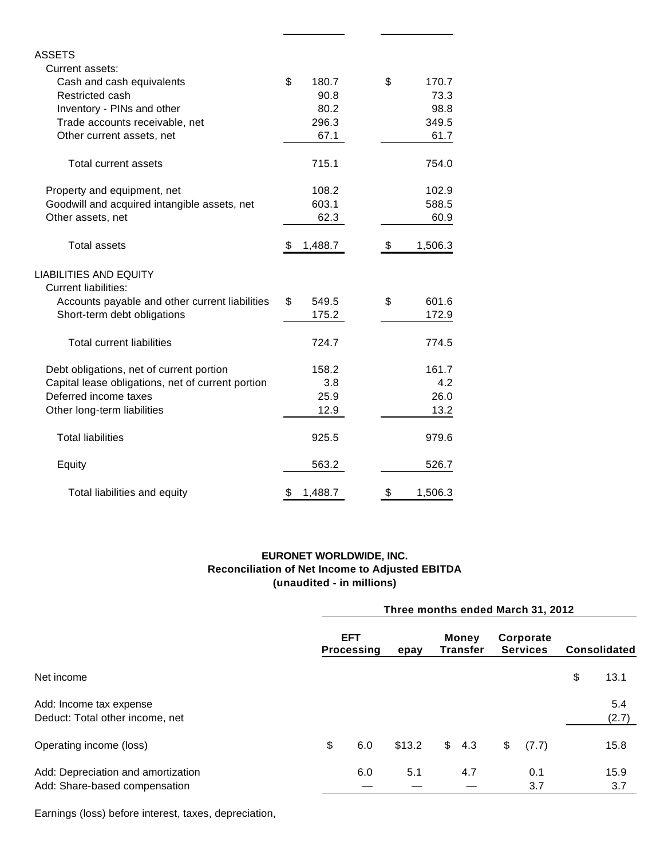| ASSETS                                                       |               |    |         |
|--------------------------------------------------------------|---------------|----|---------|
| Current assets:                                              |               |    |         |
| Cash and cash equivalents                                    | \$<br>180.7   | \$ | 170.7   |
| Restricted cash                                              | 90.8          |    | 73.3    |
| Inventory - PINs and other                                   | 80.2          |    | 98.8    |
| Trade accounts receivable, net                               | 296.3         |    | 349.5   |
| Other current assets, net                                    | 67.1          |    | 61.7    |
| Total current assets                                         | 715.1         |    | 754.0   |
| Property and equipment, net                                  | 108.2         |    | 102.9   |
| Goodwill and acquired intangible assets, net                 | 603.1         |    | 588.5   |
| Other assets, net                                            | 62.3          |    | 60.9    |
| Total assets                                                 | \$<br>1,488.7 | \$ | 1,506.3 |
| <b>LIABILITIES AND EQUITY</b><br><b>Current liabilities:</b> |               |    |         |
| Accounts payable and other current liabilities               | \$<br>549.5   | \$ | 601.6   |
| Short-term debt obligations                                  | 175.2         |    | 172.9   |
| <b>Total current liabilities</b>                             | 724.7         |    | 774.5   |
| Debt obligations, net of current portion                     | 158.2         |    | 161.7   |
| Capital lease obligations, net of current portion            | 3.8           |    | 4.2     |
| Deferred income taxes                                        | 25.9          |    | 26.0    |
| Other long-term liabilities                                  | 12.9          |    | 13.2    |
| <b>Total liabilities</b>                                     | 925.5         |    | 979.6   |
| Equity                                                       | 563.2         |    | 526.7   |
| Total liabilities and equity                                 | \$<br>1,488.7 | \$ | 1,506.3 |

# **EURONET WORLDWIDE, INC. Reconciliation of Net Income to Adjusted EBITDA (unaudited - in millions)**

|                                                                     | Three months ended March 31, 2012 |                                         |        |  |                          |    |                              |    |                     |  |  |
|---------------------------------------------------------------------|-----------------------------------|-----------------------------------------|--------|--|--------------------------|----|------------------------------|----|---------------------|--|--|
|                                                                     |                                   | <b>EFT</b><br><b>Processing</b><br>epay |        |  | Money<br><b>Transfer</b> |    | Corporate<br><b>Services</b> |    | <b>Consolidated</b> |  |  |
| Net income                                                          |                                   |                                         |        |  |                          |    |                              | \$ | 13.1                |  |  |
| Add: Income tax expense<br>Deduct: Total other income, net          |                                   |                                         |        |  |                          |    |                              |    | 5.4<br>(2.7)        |  |  |
| Operating income (loss)                                             | \$                                | 6.0                                     | \$13.2 |  | \$4.3                    | \$ | (7.7)                        |    | 15.8                |  |  |
| Add: Depreciation and amortization<br>Add: Share-based compensation |                                   | 6.0                                     | 5.1    |  | 4.7                      |    | 0.1<br>3.7                   |    | 15.9<br>3.7         |  |  |

Earnings (loss) before interest, taxes, depreciation,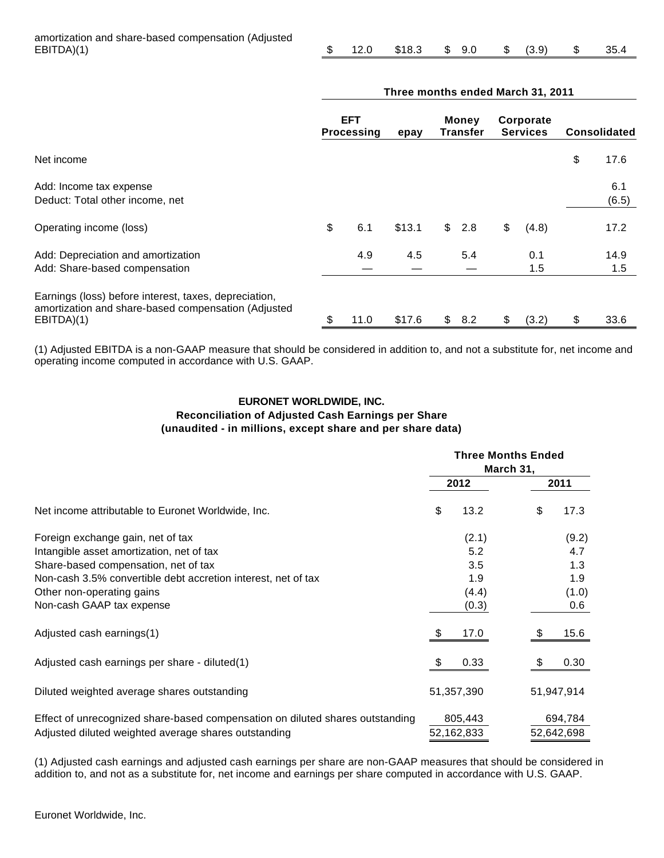|  |  | $$12.0$ $$18.3$ $$9.0$ $$$ $(3.9)$ $$35.4$ |  |  |  |  |  |  |
|--|--|--------------------------------------------|--|--|--|--|--|--|
|--|--|--------------------------------------------|--|--|--|--|--|--|

|                                                                                                                            | Three months ended March 31, 2011 |                                 |        |                |                          |    |                              |    |                     |
|----------------------------------------------------------------------------------------------------------------------------|-----------------------------------|---------------------------------|--------|----------------|--------------------------|----|------------------------------|----|---------------------|
|                                                                                                                            |                                   | <b>EFT</b><br><b>Processing</b> | epay   |                | <b>Money</b><br>Transfer |    | Corporate<br><b>Services</b> |    | <b>Consolidated</b> |
| Net income                                                                                                                 |                                   |                                 |        |                |                          |    |                              | \$ | 17.6                |
| Add: Income tax expense<br>Deduct: Total other income, net                                                                 |                                   |                                 |        |                |                          |    |                              |    | 6.1<br>(6.5)        |
| Operating income (loss)                                                                                                    | \$                                | 6.1                             | \$13.1 | $\mathfrak{S}$ | 2.8                      | \$ | (4.8)                        |    | 17.2                |
| Add: Depreciation and amortization<br>Add: Share-based compensation                                                        |                                   | 4.9                             | 4.5    |                | 5.4                      |    | 0.1<br>1.5                   |    | 14.9<br>1.5         |
| Earnings (loss) before interest, taxes, depreciation,<br>amortization and share-based compensation (Adjusted<br>EBITDA)(1) | \$                                | 11.0                            | \$17.6 |                | \$8.2                    | \$ | (3.2)                        | \$ | 33.6                |

(1) Adjusted EBITDA is a non-GAAP measure that should be considered in addition to, and not a substitute for, net income and operating income computed in accordance with U.S. GAAP.

# **EURONET WORLDWIDE, INC. Reconciliation of Adjusted Cash Earnings per Share (unaudited - in millions, except share and per share data)**

|                                                                                                                                       |    | <b>Three Months Ended</b> |    |                       |  |  |
|---------------------------------------------------------------------------------------------------------------------------------------|----|---------------------------|----|-----------------------|--|--|
|                                                                                                                                       |    | 2012                      |    | 2011                  |  |  |
| Net income attributable to Euronet Worldwide, Inc.                                                                                    | \$ | 13.2                      | \$ | 17.3                  |  |  |
| Foreign exchange gain, net of tax                                                                                                     |    | (2.1)                     |    | (9.2)                 |  |  |
| Intangible asset amortization, net of tax                                                                                             |    | 5.2                       |    | 4.7                   |  |  |
| Share-based compensation, net of tax                                                                                                  |    | 3.5                       |    | 1.3                   |  |  |
| Non-cash 3.5% convertible debt accretion interest, net of tax                                                                         |    | 1.9                       |    | 1.9                   |  |  |
| Other non-operating gains                                                                                                             |    | (4.4)                     |    | (1.0)                 |  |  |
| Non-cash GAAP tax expense                                                                                                             |    | (0.3)                     |    | 0.6                   |  |  |
| Adjusted cash earnings(1)                                                                                                             | \$ | 17.0                      | \$ | 15.6                  |  |  |
| Adjusted cash earnings per share - diluted(1)                                                                                         | S  | 0.33                      |    | 0.30                  |  |  |
| Diluted weighted average shares outstanding                                                                                           |    | 51,357,390                |    | 51,947,914            |  |  |
| Effect of unrecognized share-based compensation on diluted shares outstanding<br>Adjusted diluted weighted average shares outstanding |    | 805,443<br>52,162,833     |    | 694,784<br>52,642,698 |  |  |

(1) Adjusted cash earnings and adjusted cash earnings per share are non-GAAP measures that should be considered in addition to, and not as a substitute for, net income and earnings per share computed in accordance with U.S. GAAP.